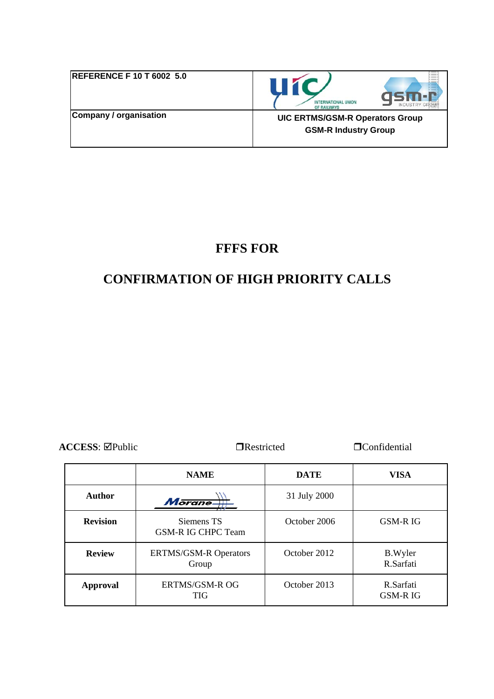| <b>REFERENCE F 10 T 6002 5.0</b> | <b>INTERNATIONAL UNION</b><br>OF RAILWAYS                             |
|----------------------------------|-----------------------------------------------------------------------|
| Company / organisation           | <b>UIC ERTMS/GSM-R Operators Group</b><br><b>GSM-R Industry Group</b> |

## **FFFS FOR**

# **CONFIRMATION OF HIGH PRIORITY CALLS**

**ACCESS:**  $\Box$ Public  $\Box$ Restricted  $\Box$ Confidential

|                 | <b>NAME</b>                             | <b>DATE</b>  | <b>VISA</b>                 |
|-----------------|-----------------------------------------|--------------|-----------------------------|
| Author          | Morane-                                 | 31 July 2000 |                             |
| <b>Revision</b> | Siemens TS<br><b>GSM-R IG CHPC Team</b> | October 2006 | <b>GSM-RIG</b>              |
| <b>Review</b>   | <b>ERTMS/GSM-R Operators</b><br>Group   | October 2012 | <b>B.Wyler</b><br>R.Sarfati |
| Approval        | <b>ERTMS/GSM-R OG</b><br><b>TIG</b>     | October 2013 | R.Sarfati<br><b>GSM-RIG</b> |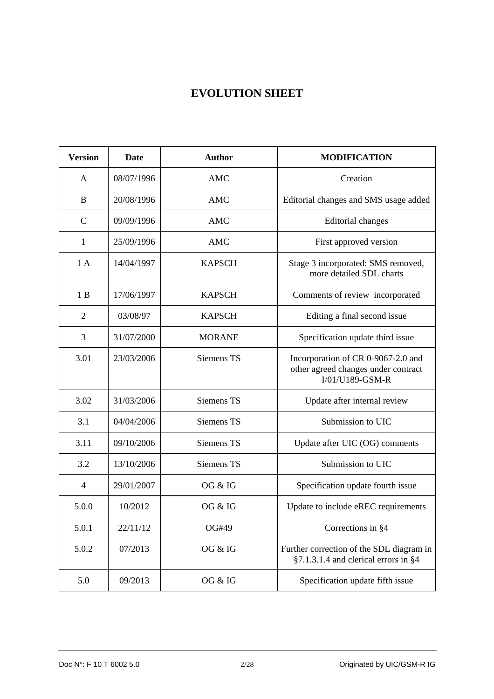## **EVOLUTION SHEET**

| <b>Version</b> | <b>Date</b> | <b>Author</b> | <b>MODIFICATION</b>                                                                          |
|----------------|-------------|---------------|----------------------------------------------------------------------------------------------|
| A              | 08/07/1996  | <b>AMC</b>    | Creation                                                                                     |
| B              | 20/08/1996  | <b>AMC</b>    | Editorial changes and SMS usage added                                                        |
| $\mathsf{C}$   | 09/09/1996  | <b>AMC</b>    | <b>Editorial</b> changes                                                                     |
| 1              | 25/09/1996  | <b>AMC</b>    | First approved version                                                                       |
| 1A             | 14/04/1997  | <b>KAPSCH</b> | Stage 3 incorporated: SMS removed,<br>more detailed SDL charts                               |
| 1B             | 17/06/1997  | <b>KAPSCH</b> | Comments of review incorporated                                                              |
| $\overline{2}$ | 03/08/97    | <b>KAPSCH</b> | Editing a final second issue                                                                 |
| 3              | 31/07/2000  | <b>MORANE</b> | Specification update third issue                                                             |
| 3.01           | 23/03/2006  | Siemens TS    | Incorporation of CR 0-9067-2.0 and<br>other agreed changes under contract<br>I/01/U189-GSM-R |
| 3.02           | 31/03/2006  | Siemens TS    | Update after internal review                                                                 |
| 3.1            | 04/04/2006  | Siemens TS    | Submission to UIC                                                                            |
| 3.11           | 09/10/2006  | Siemens TS    | Update after UIC (OG) comments                                                               |
| 3.2            | 13/10/2006  | Siemens TS    | Submission to UIC                                                                            |
| $\overline{4}$ | 29/01/2007  | OG & IG       | Specification update fourth issue                                                            |
| 5.0.0          | 10/2012     | OG & IG       | Update to include eREC requirements                                                          |
| 5.0.1          | 22/11/12    | OG#49         | Corrections in §4                                                                            |
| 5.0.2          | 07/2013     | OG & IG       | Further correction of the SDL diagram in<br>§7.1.3.1.4 and clerical errors in §4             |
| 5.0            | 09/2013     | OG & IG       | Specification update fifth issue                                                             |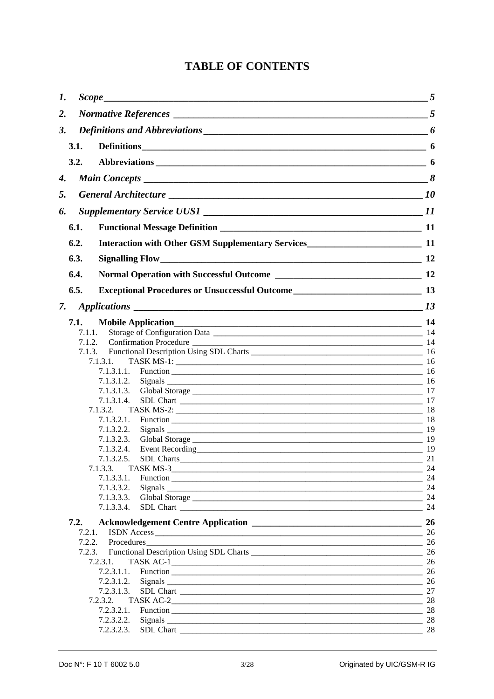## **TABLE OF CONTENTS**

| 1.   | $Scope$ 5                                                                                                                                                                                                                                          |          |
|------|----------------------------------------------------------------------------------------------------------------------------------------------------------------------------------------------------------------------------------------------------|----------|
| 2.   |                                                                                                                                                                                                                                                    |          |
| 3.   |                                                                                                                                                                                                                                                    | 6        |
| 3.1. | Definitions 6                                                                                                                                                                                                                                      |          |
| 3.2. |                                                                                                                                                                                                                                                    |          |
|      |                                                                                                                                                                                                                                                    |          |
| 4.   |                                                                                                                                                                                                                                                    |          |
| 5.   |                                                                                                                                                                                                                                                    |          |
| 6.   |                                                                                                                                                                                                                                                    |          |
| 6.1. |                                                                                                                                                                                                                                                    |          |
| 6.2. |                                                                                                                                                                                                                                                    |          |
| 6.3. |                                                                                                                                                                                                                                                    |          |
| 6.4. |                                                                                                                                                                                                                                                    |          |
| 6.5. |                                                                                                                                                                                                                                                    |          |
| 7.   |                                                                                                                                                                                                                                                    |          |
| 7.1. |                                                                                                                                                                                                                                                    |          |
|      | 7.1.1.                                                                                                                                                                                                                                             |          |
|      | 7.1.2.                                                                                                                                                                                                                                             |          |
|      | 7.1.3.                                                                                                                                                                                                                                             |          |
|      | TASK MS-1: 16<br>7.1.3.1.                                                                                                                                                                                                                          |          |
|      |                                                                                                                                                                                                                                                    |          |
|      | 7.1.3.1.2.                                                                                                                                                                                                                                         |          |
|      | 7.1.3.1.3.                                                                                                                                                                                                                                         |          |
|      | 7.1.3.1.4.                                                                                                                                                                                                                                         |          |
|      | 7.1.3.2. TASK MS-2: 18                                                                                                                                                                                                                             |          |
|      | 7.1.3.2.1.                                                                                                                                                                                                                                         |          |
|      | 7.1.3.2.2.                                                                                                                                                                                                                                         |          |
|      | 7.1.3.2.3.                                                                                                                                                                                                                                         |          |
|      | Event Recording 19<br>7.1.3.2.4.                                                                                                                                                                                                                   |          |
|      | SDL Charts<br>7.1.3.2.5.                                                                                                                                                                                                                           | 21       |
|      | 7.1.3.3.                                                                                                                                                                                                                                           | -24      |
|      | 7.1.3.3.1.<br>Function <u>example and the contract of the contract of the contract of the contract of the contract of the contract of the contract of the contract of the contract of the contract of the contract of the contract of the cont</u> | 24       |
|      | 7.1.3.3.2.                                                                                                                                                                                                                                         |          |
|      | 7.1.3.3.3.<br>Global Storage 24                                                                                                                                                                                                                    |          |
|      | 7.1.3.3.4.                                                                                                                                                                                                                                         | 24       |
| 7.2. |                                                                                                                                                                                                                                                    |          |
|      | 7.2.1.                                                                                                                                                                                                                                             |          |
|      | 7.2.2.<br>$\overline{\phantom{a}}$ 26<br>Procedures                                                                                                                                                                                                |          |
|      | 7.2.3.                                                                                                                                                                                                                                             |          |
|      | 7.2.3.1.                                                                                                                                                                                                                                           | 26       |
|      | 7.2.3.1.1.                                                                                                                                                                                                                                         |          |
|      | 7.2.3.1.2.                                                                                                                                                                                                                                         |          |
|      | 7.2.3.1.3.                                                                                                                                                                                                                                         |          |
|      | 7.2.3.2.                                                                                                                                                                                                                                           | 28       |
|      | 7.2.3.2.1.<br>7.2.3.2.2.                                                                                                                                                                                                                           | 28       |
|      | 7.2.3.2.3.                                                                                                                                                                                                                                         | 28<br>28 |
|      |                                                                                                                                                                                                                                                    |          |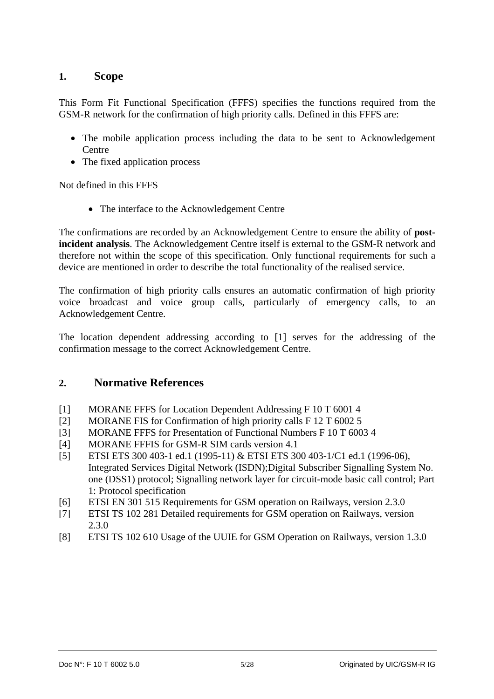## **1. Scope**

This Form Fit Functional Specification (FFFS) specifies the functions required from the GSM-R network for the confirmation of high priority calls. Defined in this FFFS are:

- The mobile application process including the data to be sent to Acknowledgement **Centre**
- The fixed application process

Not defined in this FFFS

• The interface to the Acknowledgement Centre

The confirmations are recorded by an Acknowledgement Centre to ensure the ability of **postincident analysis**. The Acknowledgement Centre itself is external to the GSM-R network and therefore not within the scope of this specification. Only functional requirements for such a device are mentioned in order to describe the total functionality of the realised service.

The confirmation of high priority calls ensures an automatic confirmation of high priority voice broadcast and voice group calls, particularly of emergency calls, to an Acknowledgement Centre.

The location dependent addressing according to [1] serves for the addressing of the confirmation message to the correct Acknowledgement Centre.

## **2. Normative References**

- [1] MORANE FFFS for Location Dependent Addressing F 10 T 6001 4
- [2] MORANE FIS for Confirmation of high priority calls F 12 T 6002 5
- [3] MORANE FFFS for Presentation of Functional Numbers F 10 T 6003 4
- [4] MORANE FFFIS for GSM-R SIM cards version 4.1
- [5] ETSI ETS 300 403-1 ed.1 (1995-11) & ETSI ETS 300 403-1/C1 ed.1 (1996-06), Integrated Services Digital Network (ISDN);Digital Subscriber Signalling System No. one (DSS1) protocol; Signalling network layer for circuit-mode basic call control; Part 1: Protocol specification
- [6] ETSI EN 301 515 Requirements for GSM operation on Railways, version 2.3.0
- [7] ETSI TS 102 281 Detailed requirements for GSM operation on Railways, version 2.3.0
- [8] ETSI TS 102 610 Usage of the UUIE for GSM Operation on Railways, version 1.3.0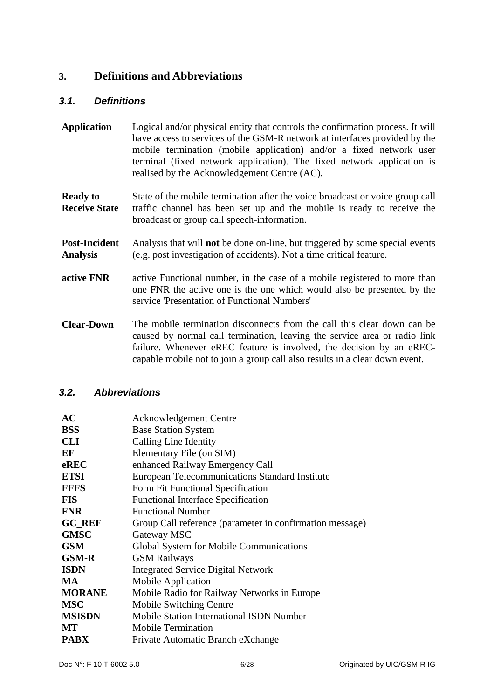## **3. Definitions and Abbreviations**

#### *3.1. Definitions*

- **Application** Logical and/or physical entity that controls the confirmation process. It will have access to services of the GSM-R network at interfaces provided by the mobile termination (mobile application) and/or a fixed network user terminal (fixed network application). The fixed network application is realised by the Acknowledgement Centre (AC).
- **Ready to Receive State**  State of the mobile termination after the voice broadcast or voice group call traffic channel has been set up and the mobile is ready to receive the broadcast or group call speech-information.
- **Post-Incident Analysis**  Analysis that will **not** be done on-line, but triggered by some special events (e.g. post investigation of accidents). Not a time critical feature.
- **active FNR** active Functional number, in the case of a mobile registered to more than one FNR the active one is the one which would also be presented by the service 'Presentation of Functional Numbers'
- **Clear-Down** The mobile termination disconnects from the call this clear down can be caused by normal call termination, leaving the service area or radio link failure. Whenever eREC feature is involved, the decision by an eRECcapable mobile not to join a group call also results in a clear down event.

#### *3.2. Abbreviations*

| AC            | <b>Acknowledgement Centre</b>                            |
|---------------|----------------------------------------------------------|
| <b>BSS</b>    | <b>Base Station System</b>                               |
| <b>CLI</b>    | Calling Line Identity                                    |
| EF            | Elementary File (on SIM)                                 |
| eREC          | enhanced Railway Emergency Call                          |
| <b>ETSI</b>   | European Telecommunications Standard Institute           |
| <b>FFFS</b>   | Form Fit Functional Specification                        |
| <b>FIS</b>    | <b>Functional Interface Specification</b>                |
| <b>FNR</b>    | <b>Functional Number</b>                                 |
| <b>GC_REF</b> | Group Call reference (parameter in confirmation message) |
| <b>GMSC</b>   | Gateway MSC                                              |
| <b>GSM</b>    | Global System for Mobile Communications                  |
| <b>GSM-R</b>  | <b>GSM Railways</b>                                      |
| <b>ISDN</b>   | <b>Integrated Service Digital Network</b>                |
| <b>MA</b>     | Mobile Application                                       |
| <b>MORANE</b> | Mobile Radio for Railway Networks in Europe              |
| <b>MSC</b>    | Mobile Switching Centre                                  |
| <b>MSISDN</b> | <b>Mobile Station International ISDN Number</b>          |
| MT            | <b>Mobile Termination</b>                                |
| <b>PABX</b>   | Private Automatic Branch eXchange                        |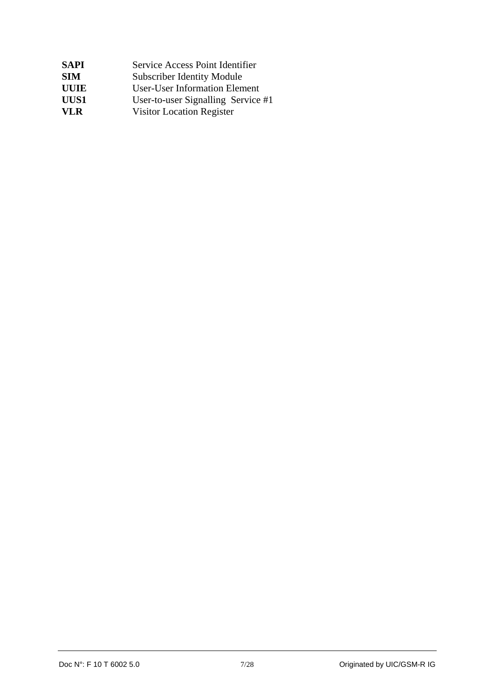| <b>SAPI</b> | Service Access Point Identifier      |
|-------------|--------------------------------------|
| <b>SIM</b>  | <b>Subscriber Identity Module</b>    |
| <b>UUIE</b> | <b>User-User Information Element</b> |
| UUS1        | User-to-user Signalling Service #1   |
| VL R        | <b>Visitor Location Register</b>     |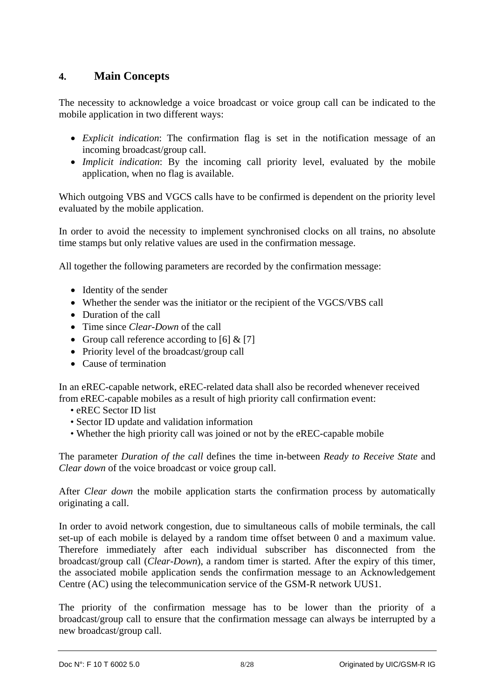## **4. Main Concepts**

The necessity to acknowledge a voice broadcast or voice group call can be indicated to the mobile application in two different ways:

- *Explicit indication*: The confirmation flag is set in the notification message of an incoming broadcast/group call.
- *Implicit indication*: By the incoming call priority level, evaluated by the mobile application, when no flag is available.

Which outgoing VBS and VGCS calls have to be confirmed is dependent on the priority level evaluated by the mobile application.

In order to avoid the necessity to implement synchronised clocks on all trains, no absolute time stamps but only relative values are used in the confirmation message.

All together the following parameters are recorded by the confirmation message:

- Identity of the sender
- Whether the sender was the initiator or the recipient of the VGCS/VBS call
- Duration of the call
- Time since *Clear-Down* of the call
- Group call reference according to [6]  $& [7]$
- Priority level of the broadcast/group call
- Cause of termination

In an eREC-capable network, eREC-related data shall also be recorded whenever received from eREC-capable mobiles as a result of high priority call confirmation event:

- eREC Sector ID list
- Sector ID update and validation information
- Whether the high priority call was joined or not by the eREC-capable mobile

The parameter *Duration of the call* defines the time in-between *Ready to Receive State* and *Clear down* of the voice broadcast or voice group call.

After *Clear down* the mobile application starts the confirmation process by automatically originating a call.

In order to avoid network congestion, due to simultaneous calls of mobile terminals, the call set-up of each mobile is delayed by a random time offset between 0 and a maximum value. Therefore immediately after each individual subscriber has disconnected from the broadcast/group call (*Clear-Down*), a random timer is started. After the expiry of this timer, the associated mobile application sends the confirmation message to an Acknowledgement Centre (AC) using the telecommunication service of the GSM-R network UUS1.

The priority of the confirmation message has to be lower than the priority of a broadcast/group call to ensure that the confirmation message can always be interrupted by a new broadcast/group call.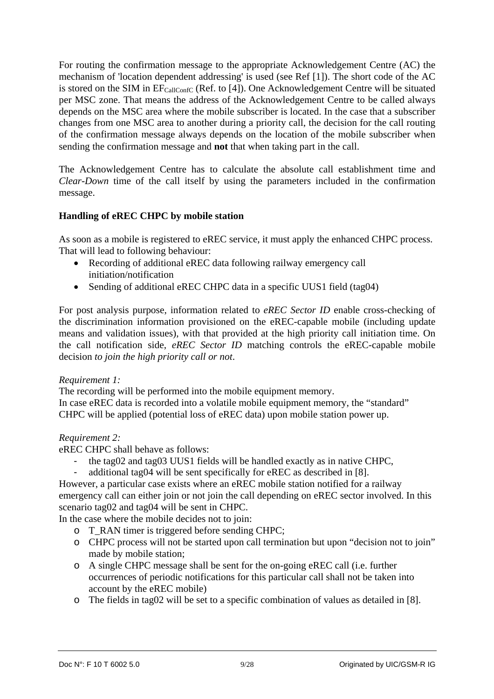For routing the confirmation message to the appropriate Acknowledgement Centre (AC) the mechanism of 'location dependent addressing' is used (see Ref [1]). The short code of the AC is stored on the SIM in  $EF_{\text{CallConfC}}$  (Ref. to [4]). One Acknowledgement Centre will be situated per MSC zone. That means the address of the Acknowledgement Centre to be called always depends on the MSC area where the mobile subscriber is located. In the case that a subscriber changes from one MSC area to another during a priority call, the decision for the call routing of the confirmation message always depends on the location of the mobile subscriber when sending the confirmation message and **not** that when taking part in the call.

The Acknowledgement Centre has to calculate the absolute call establishment time and *Clear-Down* time of the call itself by using the parameters included in the confirmation message.

#### **Handling of eREC CHPC by mobile station**

As soon as a mobile is registered to eREC service, it must apply the enhanced CHPC process. That will lead to following behaviour:

- Recording of additional eREC data following railway emergency call initiation/notification
- Sending of additional eREC CHPC data in a specific UUS1 field (tag04)

For post analysis purpose, information related to *eREC Sector ID* enable cross-checking of the discrimination information provisioned on the eREC-capable mobile (including update means and validation issues), with that provided at the high priority call initiation time. On the call notification side, *eREC Sector ID* matching controls the eREC-capable mobile decision *to join the high priority call or not*.

#### *Requirement 1:*

The recording will be performed into the mobile equipment memory. In case eREC data is recorded into a volatile mobile equipment memory, the "standard" CHPC will be applied (potential loss of eREC data) upon mobile station power up.

#### *Requirement 2:*

eREC CHPC shall behave as follows:

- the tag02 and tag03 UUS1 fields will be handled exactly as in native CHPC,
- additional tag04 will be sent specifically for eREC as described in [8].

However, a particular case exists where an eREC mobile station notified for a railway emergency call can either join or not join the call depending on eREC sector involved. In this scenario tag02 and tag04 will be sent in CHPC.

In the case where the mobile decides not to join:

- o T\_RAN timer is triggered before sending CHPC;
- o CHPC process will not be started upon call termination but upon "decision not to join" made by mobile station;
- o A single CHPC message shall be sent for the on-going eREC call (i.e. further occurrences of periodic notifications for this particular call shall not be taken into account by the eREC mobile)
- o The fields in tag02 will be set to a specific combination of values as detailed in [8].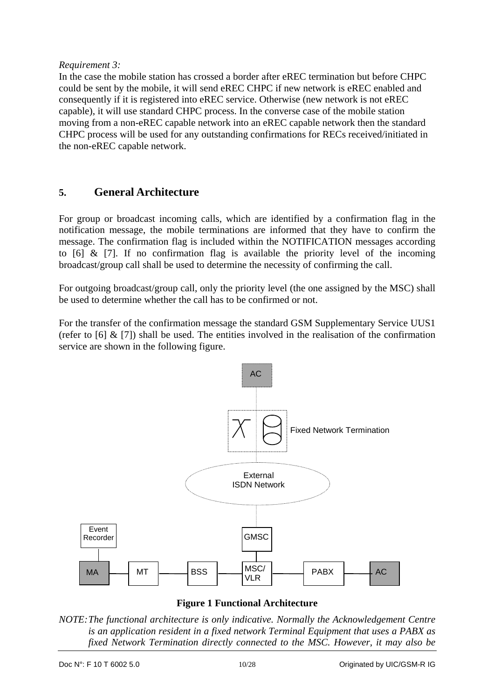#### *Requirement 3:*

In the case the mobile station has crossed a border after eREC termination but before CHPC could be sent by the mobile, it will send eREC CHPC if new network is eREC enabled and consequently if it is registered into eREC service. Otherwise (new network is not eREC capable), it will use standard CHPC process. In the converse case of the mobile station moving from a non-eREC capable network into an eREC capable network then the standard CHPC process will be used for any outstanding confirmations for RECs received/initiated in the non-eREC capable network.

## **5. General Architecture**

For group or broadcast incoming calls, which are identified by a confirmation flag in the notification message, the mobile terminations are informed that they have to confirm the message. The confirmation flag is included within the NOTIFICATION messages according to  $\overline{6}$   $\overline{6}$   $\overline{6}$   $\overline{7}$ . If no confirmation flag is available the priority level of the incoming broadcast/group call shall be used to determine the necessity of confirming the call.

For outgoing broadcast/group call, only the priority level (the one assigned by the MSC) shall be used to determine whether the call has to be confirmed or not.

For the transfer of the confirmation message the standard GSM Supplementary Service UUS1 (refer to  $[6]$  &  $[7]$ ) shall be used. The entities involved in the realisation of the confirmation service are shown in the following figure.



**Figure 1 Functional Architecture** 

*NOTE: The functional architecture is only indicative. Normally the Acknowledgement Centre is an application resident in a fixed network Terminal Equipment that uses a PABX as fixed Network Termination directly connected to the MSC. However, it may also be*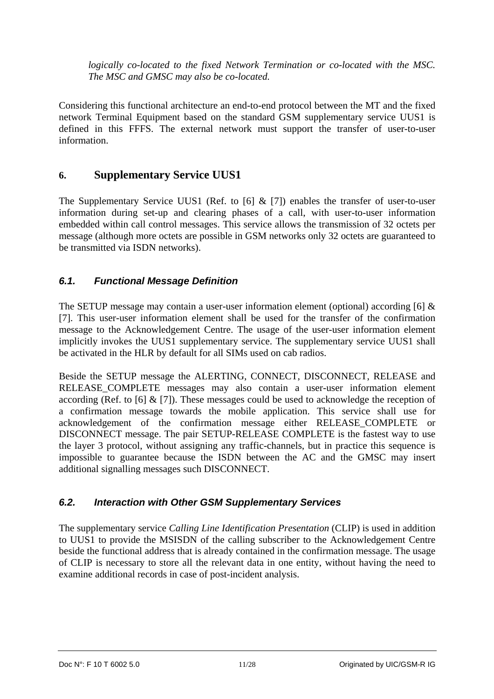*logically co-located to the fixed Network Termination or co-located with the MSC. The MSC and GMSC may also be co-located.* 

Considering this functional architecture an end-to-end protocol between the MT and the fixed network Terminal Equipment based on the standard GSM supplementary service UUS1 is defined in this FFFS. The external network must support the transfer of user-to-user information.

## **6. Supplementary Service UUS1**

The Supplementary Service UUS1 (Ref. to [6]  $\&$  [7]) enables the transfer of user-to-user information during set-up and clearing phases of a call, with user-to-user information embedded within call control messages. This service allows the transmission of 32 octets per message (although more octets are possible in GSM networks only 32 octets are guaranteed to be transmitted via ISDN networks).

## *6.1. Functional Message Definition*

The SETUP message may contain a user-user information element (optional) according [6] & [7]. This user-user information element shall be used for the transfer of the confirmation message to the Acknowledgement Centre. The usage of the user-user information element implicitly invokes the UUS1 supplementary service. The supplementary service UUS1 shall be activated in the HLR by default for all SIMs used on cab radios.

Beside the SETUP message the ALERTING, CONNECT, DISCONNECT, RELEASE and RELEASE COMPLETE messages may also contain a user-user information element according (Ref. to  $[6]$  &  $[7]$ ). These messages could be used to acknowledge the reception of a confirmation message towards the mobile application. This service shall use for acknowledgement of the confirmation message either RELEASE\_COMPLETE or DISCONNECT message. The pair SETUP-RELEASE COMPLETE is the fastest way to use the layer 3 protocol, without assigning any traffic-channels, but in practice this sequence is impossible to guarantee because the ISDN between the AC and the GMSC may insert additional signalling messages such DISCONNECT.

## *6.2. Interaction with Other GSM Supplementary Services*

The supplementary service *Calling Line Identification Presentation* (CLIP) is used in addition to UUS1 to provide the MSISDN of the calling subscriber to the Acknowledgement Centre beside the functional address that is already contained in the confirmation message. The usage of CLIP is necessary to store all the relevant data in one entity, without having the need to examine additional records in case of post-incident analysis.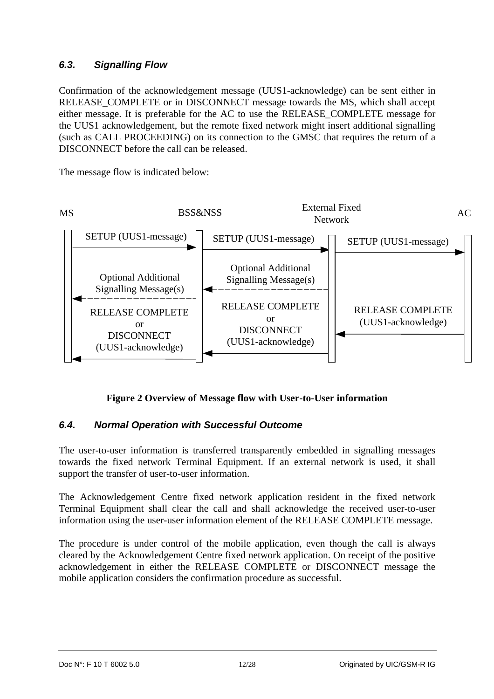## *6.3. Signalling Flow*

Confirmation of the acknowledgement message (UUS1-acknowledge) can be sent either in RELEASE\_COMPLETE or in DISCONNECT message towards the MS, which shall accept either message. It is preferable for the AC to use the RELEASE\_COMPLETE message for the UUS1 acknowledgement, but the remote fixed network might insert additional signalling (such as CALL PROCEEDING) on its connection to the GMSC that requires the return of a DISCONNECT before the call can be released.

The message flow is indicated below:



**Figure 2 Overview of Message flow with User-to-User information** 

## *6.4. Normal Operation with Successful Outcome*

The user-to-user information is transferred transparently embedded in signalling messages towards the fixed network Terminal Equipment. If an external network is used, it shall support the transfer of user-to-user information.

The Acknowledgement Centre fixed network application resident in the fixed network Terminal Equipment shall clear the call and shall acknowledge the received user-to-user information using the user-user information element of the RELEASE COMPLETE message.

The procedure is under control of the mobile application, even though the call is always cleared by the Acknowledgement Centre fixed network application. On receipt of the positive acknowledgement in either the RELEASE COMPLETE or DISCONNECT message the mobile application considers the confirmation procedure as successful.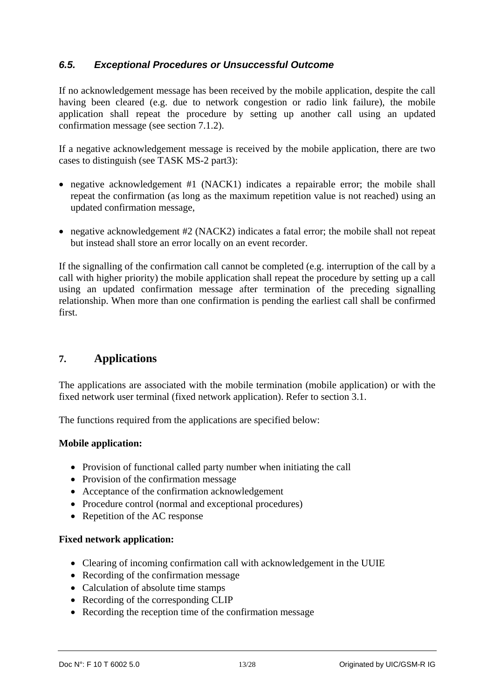#### *6.5. Exceptional Procedures or Unsuccessful Outcome*

If no acknowledgement message has been received by the mobile application, despite the call having been cleared (e.g. due to network congestion or radio link failure), the mobile application shall repeat the procedure by setting up another call using an updated confirmation message (see section 7.1.2).

If a negative acknowledgement message is received by the mobile application, there are two cases to distinguish (see TASK MS-2 part3):

- negative acknowledgement #1 (NACK1) indicates a repairable error; the mobile shall repeat the confirmation (as long as the maximum repetition value is not reached) using an updated confirmation message,
- negative acknowledgement #2 (NACK2) indicates a fatal error; the mobile shall not repeat but instead shall store an error locally on an event recorder.

If the signalling of the confirmation call cannot be completed (e.g. interruption of the call by a call with higher priority) the mobile application shall repeat the procedure by setting up a call using an updated confirmation message after termination of the preceding signalling relationship. When more than one confirmation is pending the earliest call shall be confirmed first.

## **7. Applications**

The applications are associated with the mobile termination (mobile application) or with the fixed network user terminal (fixed network application). Refer to section 3.1.

The functions required from the applications are specified below:

#### **Mobile application:**

- Provision of functional called party number when initiating the call
- Provision of the confirmation message
- Acceptance of the confirmation acknowledgement
- Procedure control (normal and exceptional procedures)
- Repetition of the AC response

#### **Fixed network application:**

- Clearing of incoming confirmation call with acknowledgement in the UUIE
- Recording of the confirmation message
- Calculation of absolute time stamps
- Recording of the corresponding CLIP
- Recording the reception time of the confirmation message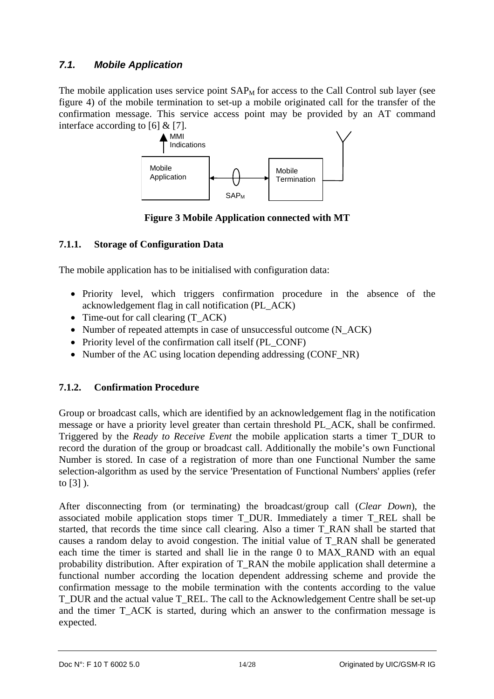## *7.1. Mobile Application*

The mobile application uses service point  $SAP<sub>M</sub>$  for access to the Call Control sub layer (see figure 4) of the mobile termination to set-up a mobile originated call for the transfer of the confirmation message. This service access point may be provided by an AT command interface according to [6] & [7].



**Figure 3 Mobile Application connected with MT** 

## **7.1.1. Storage of Configuration Data**

The mobile application has to be initialised with configuration data:

- Priority level, which triggers confirmation procedure in the absence of the acknowledgement flag in call notification (PL\_ACK)
- Time-out for call clearing (T\_ACK)
- Number of repeated attempts in case of unsuccessful outcome (N\_ACK)
- Priority level of the confirmation call itself (PL\_CONF)
- Number of the AC using location depending addressing (CONF\_NR)

## **7.1.2. Confirmation Procedure**

Group or broadcast calls, which are identified by an acknowledgement flag in the notification message or have a priority level greater than certain threshold PL\_ACK, shall be confirmed. Triggered by the *Ready to Receive Event* the mobile application starts a timer T\_DUR to record the duration of the group or broadcast call. Additionally the mobile's own Functional Number is stored. In case of a registration of more than one Functional Number the same selection-algorithm as used by the service 'Presentation of Functional Numbers' applies (refer to [3] ).

After disconnecting from (or terminating) the broadcast/group call (*Clear Down*), the associated mobile application stops timer T\_DUR. Immediately a timer T\_REL shall be started, that records the time since call clearing. Also a timer T\_RAN shall be started that causes a random delay to avoid congestion. The initial value of T\_RAN shall be generated each time the timer is started and shall lie in the range 0 to MAX\_RAND with an equal probability distribution. After expiration of T\_RAN the mobile application shall determine a functional number according the location dependent addressing scheme and provide the confirmation message to the mobile termination with the contents according to the value T\_DUR and the actual value T\_REL. The call to the Acknowledgement Centre shall be set-up and the timer T\_ACK is started, during which an answer to the confirmation message is expected.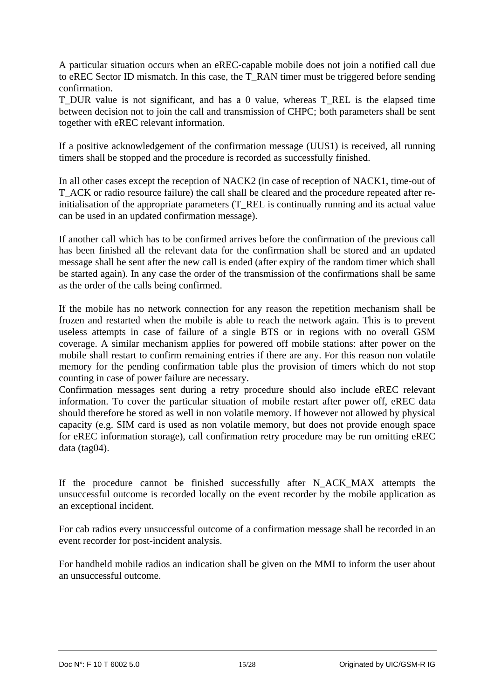A particular situation occurs when an eREC-capable mobile does not join a notified call due to eREC Sector ID mismatch. In this case, the T\_RAN timer must be triggered before sending confirmation.

T\_DUR value is not significant, and has a 0 value, whereas T\_REL is the elapsed time between decision not to join the call and transmission of CHPC; both parameters shall be sent together with eREC relevant information.

If a positive acknowledgement of the confirmation message (UUS1) is received, all running timers shall be stopped and the procedure is recorded as successfully finished.

In all other cases except the reception of NACK2 (in case of reception of NACK1, time-out of T\_ACK or radio resource failure) the call shall be cleared and the procedure repeated after reinitialisation of the appropriate parameters (T\_REL is continually running and its actual value can be used in an updated confirmation message).

If another call which has to be confirmed arrives before the confirmation of the previous call has been finished all the relevant data for the confirmation shall be stored and an updated message shall be sent after the new call is ended (after expiry of the random timer which shall be started again). In any case the order of the transmission of the confirmations shall be same as the order of the calls being confirmed.

If the mobile has no network connection for any reason the repetition mechanism shall be frozen and restarted when the mobile is able to reach the network again. This is to prevent useless attempts in case of failure of a single BTS or in regions with no overall GSM coverage. A similar mechanism applies for powered off mobile stations: after power on the mobile shall restart to confirm remaining entries if there are any. For this reason non volatile memory for the pending confirmation table plus the provision of timers which do not stop counting in case of power failure are necessary.

Confirmation messages sent during a retry procedure should also include eREC relevant information. To cover the particular situation of mobile restart after power off, eREC data should therefore be stored as well in non volatile memory. If however not allowed by physical capacity (e.g. SIM card is used as non volatile memory, but does not provide enough space for eREC information storage), call confirmation retry procedure may be run omitting eREC data (tag04).

If the procedure cannot be finished successfully after N\_ACK\_MAX attempts the unsuccessful outcome is recorded locally on the event recorder by the mobile application as an exceptional incident.

For cab radios every unsuccessful outcome of a confirmation message shall be recorded in an event recorder for post-incident analysis.

For handheld mobile radios an indication shall be given on the MMI to inform the user about an unsuccessful outcome.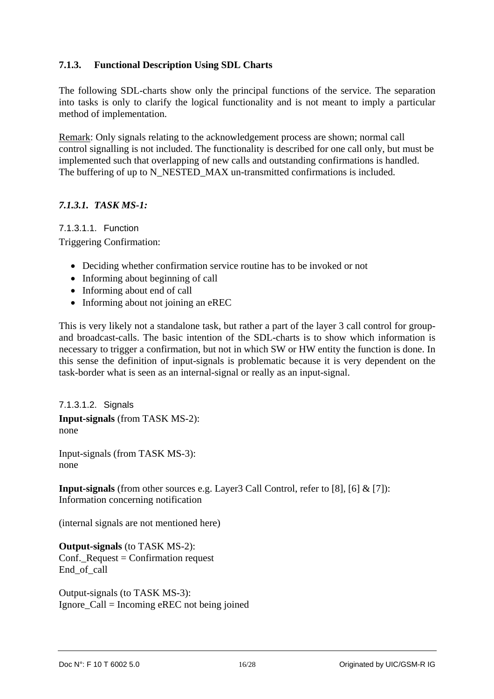#### **7.1.3. Functional Description Using SDL Charts**

The following SDL-charts show only the principal functions of the service. The separation into tasks is only to clarify the logical functionality and is not meant to imply a particular method of implementation.

Remark: Only signals relating to the acknowledgement process are shown; normal call control signalling is not included. The functionality is described for one call only, but must be implemented such that overlapping of new calls and outstanding confirmations is handled. The buffering of up to N\_NESTED\_MAX un-transmitted confirmations is included.

#### *7.1.3.1. TASK MS-1:*

7.1.3.1.1. Function Triggering Confirmation:

- Deciding whether confirmation service routine has to be invoked or not
- Informing about beginning of call
- Informing about end of call
- Informing about not joining an eREC

This is very likely not a standalone task, but rather a part of the layer 3 call control for groupand broadcast-calls. The basic intention of the SDL-charts is to show which information is necessary to trigger a confirmation, but not in which SW or HW entity the function is done. In this sense the definition of input-signals is problematic because it is very dependent on the task-border what is seen as an internal-signal or really as an input-signal.

7.1.3.1.2. Signals **Input-signals** (from TASK MS-2): none

Input-signals (from TASK MS-3): none

**Input-signals** (from other sources e.g. Layer3 Call Control, refer to [8], [6] & [7]): Information concerning notification

(internal signals are not mentioned here)

**Output-signals** (to TASK MS-2): Conf.\_Request = Confirmation request End\_of\_call

Output-signals (to TASK MS-3): Ignore\_Call = Incoming eREC not being joined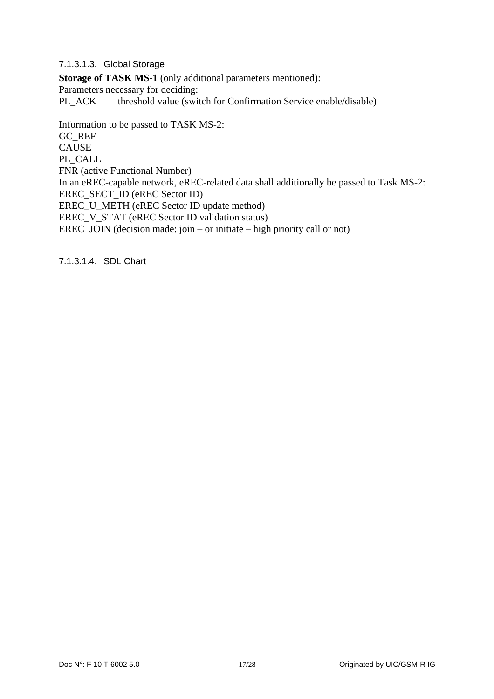7.1.3.1.3. Global Storage

**Storage of TASK MS-1** (only additional parameters mentioned): Parameters necessary for deciding: PL\_ACK threshold value (switch for Confirmation Service enable/disable)

Information to be passed to TASK MS-2: GC\_REF CAUSE PL\_CALL FNR (active Functional Number) In an eREC-capable network, eREC-related data shall additionally be passed to Task MS-2: EREC\_SECT\_ID (eREC Sector ID) EREC\_U\_METH (eREC Sector ID update method) EREC\_V\_STAT (eREC Sector ID validation status) EREC\_JOIN (decision made: join – or initiate – high priority call or not)

7.1.3.1.4. SDL Chart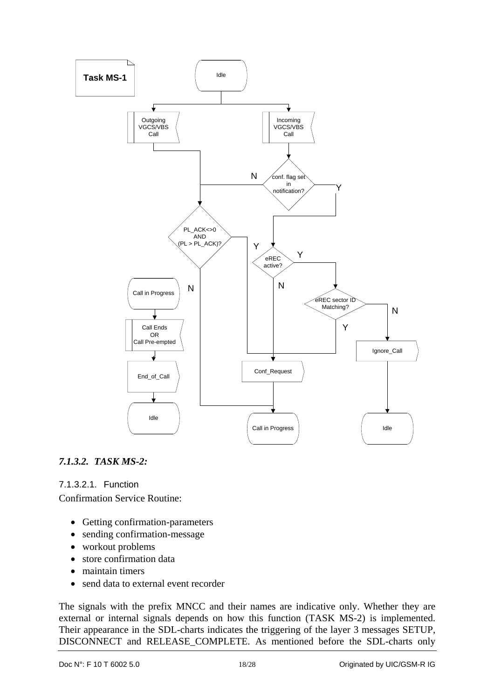

## *7.1.3.2. TASK MS-2:*

7.1.3.2.1. Function

Confirmation Service Routine:

- Getting confirmation-parameters
- sending confirmation-message
- workout problems
- store confirmation data
- maintain timers
- send data to external event recorder

The signals with the prefix MNCC and their names are indicative only. Whether they are external or internal signals depends on how this function (TASK MS-2) is implemented. Their appearance in the SDL-charts indicates the triggering of the layer 3 messages SETUP, DISCONNECT and RELEASE\_COMPLETE. As mentioned before the SDL-charts only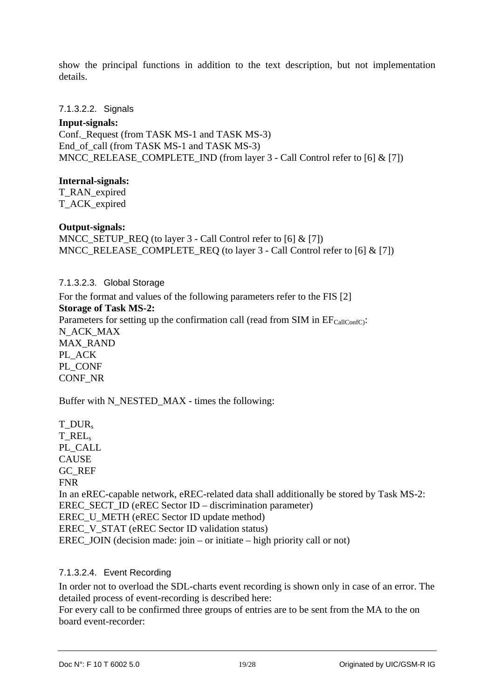show the principal functions in addition to the text description, but not implementation details.

#### 7.1.3.2.2. Signals

#### **Input-signals:**

Conf. Request (from TASK MS-1 and TASK MS-3) End of call (from TASK MS-1 and TASK MS-3) MNCC\_RELEASE\_COMPLETE\_IND (from layer 3 - Call Control refer to [6] & [7])

#### **Internal-signals:**

T\_RAN\_expired T\_ACK\_expired

#### **Output-signals:**

MNCC\_SETUP\_REQ (to layer 3 - Call Control refer to [6] & [7]) MNCC\_RELEASE\_COMPLETE\_REQ (to layer  $3$  - Call Control refer to [6] & [7])

7.1.3.2.3. Global Storage

For the format and values of the following parameters refer to the FIS [2]

**Storage of Task MS-2:** 

CONF\_NR

Parameters for setting up the confirmation call (read from SIM in  $EF_{\text{CalIConfC}}$ ): N\_ACK\_MAX MAX\_RAND PL\_ACK PL\_CONF

Buffer with N\_NESTED\_MAX - times the following:

T\_DUR<sub>s</sub> T\_RELs PL\_CALL CAUSE GC\_REF FNR In an eREC-capable network, eREC-related data shall additionally be stored by Task MS-2: EREC\_SECT\_ID (eREC Sector ID – discrimination parameter) EREC\_U\_METH (eREC Sector ID update method) EREC\_V\_STAT (eREC Sector ID validation status) EREC JOIN (decision made: join – or initiate – high priority call or not)

#### 7.1.3.2.4. Event Recording

In order not to overload the SDL-charts event recording is shown only in case of an error. The detailed process of event-recording is described here:

For every call to be confirmed three groups of entries are to be sent from the MA to the on board event-recorder: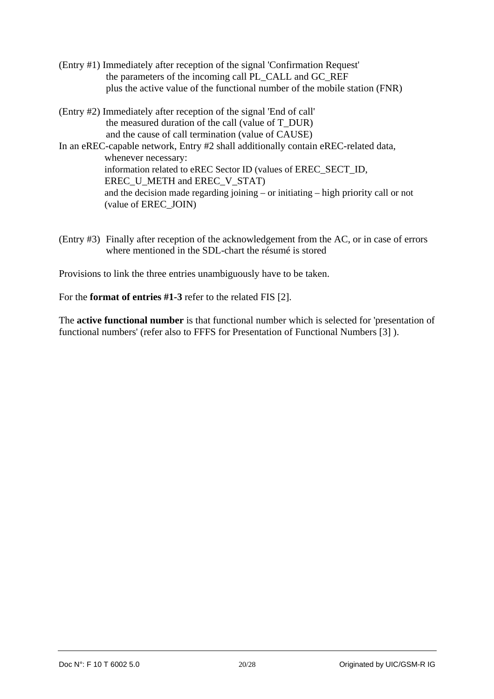- (Entry #1) Immediately after reception of the signal 'Confirmation Request' the parameters of the incoming call PL\_CALL and GC\_REF plus the active value of the functional number of the mobile station (FNR)
- (Entry #2) Immediately after reception of the signal 'End of call' the measured duration of the call (value of T\_DUR) and the cause of call termination (value of CAUSE) In an eREC-capable network, Entry #2 shall additionally contain eREC-related data, whenever necessary: information related to eREC Sector ID (values of EREC\_SECT\_ID, EREC\_U\_METH and EREC\_V\_STAT)

and the decision made regarding joining – or initiating – high priority call or not (value of EREC\_JOIN)

(Entry #3) Finally after reception of the acknowledgement from the AC, or in case of errors where mentioned in the SDL-chart the résumé is stored

Provisions to link the three entries unambiguously have to be taken.

For the **format of entries #1-3** refer to the related FIS [2].

The **active functional number** is that functional number which is selected for 'presentation of functional numbers' (refer also to FFFS for Presentation of Functional Numbers [3] ).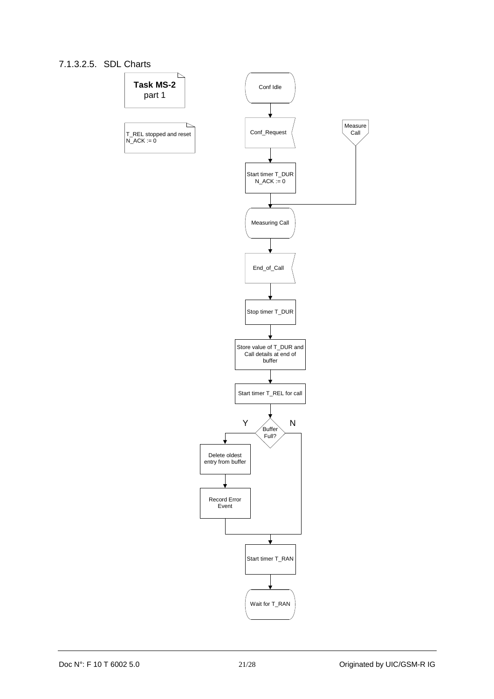#### 7.1.3.2.5. SDL Charts

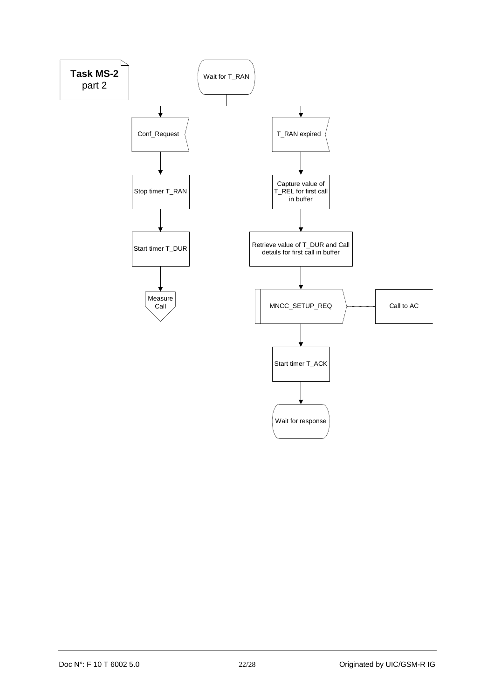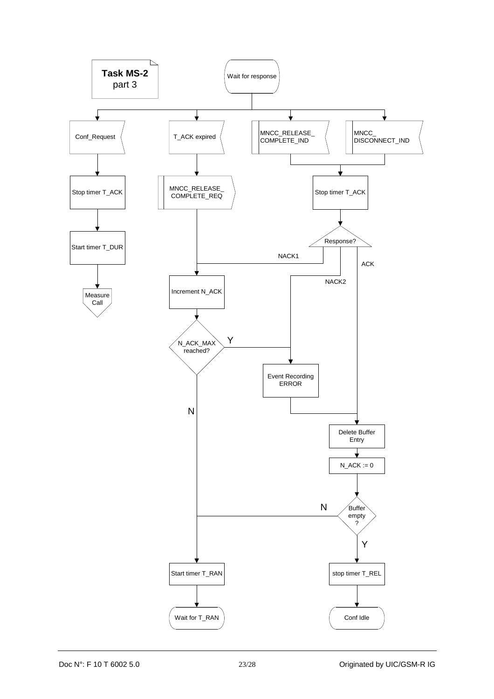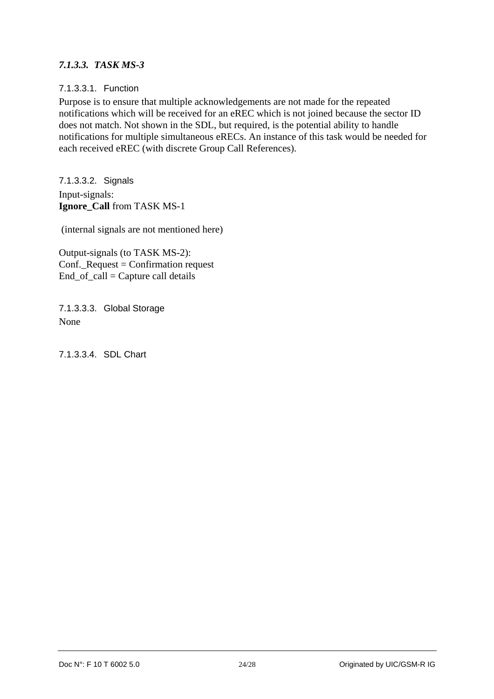#### *7.1.3.3. TASK MS-3*

#### 7.1.3.3.1. Function

Purpose is to ensure that multiple acknowledgements are not made for the repeated notifications which will be received for an eREC which is not joined because the sector ID does not match. Not shown in the SDL, but required, is the potential ability to handle notifications for multiple simultaneous eRECs. An instance of this task would be needed for each received eREC (with discrete Group Call References).

7.1.3.3.2. Signals Input-signals: **Ignore\_Call** from TASK MS-1

(internal signals are not mentioned here)

Output-signals (to TASK MS-2): Conf.\_Request = Confirmation request  $End_{of_{cal}} = Capture$  call details

7.1.3.3.3. Global Storage None

7.1.3.3.4. SDL Chart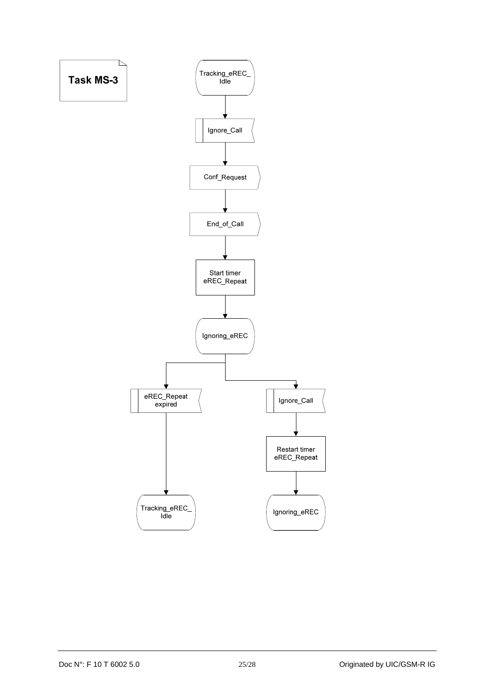![](_page_24_Figure_0.jpeg)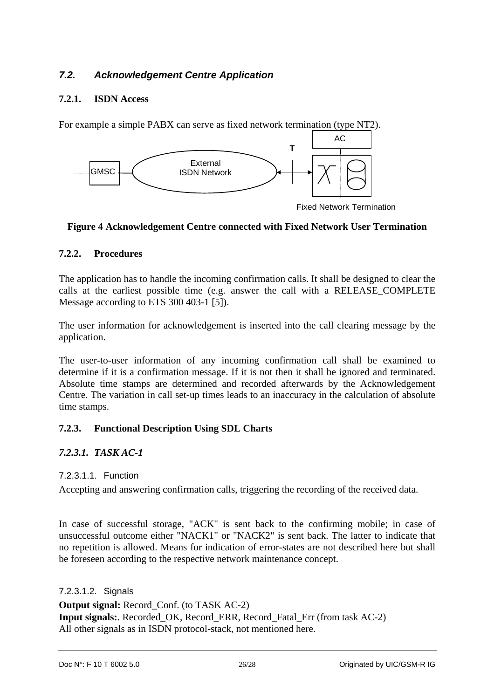## *7.2. Acknowledgement Centre Application*

#### **7.2.1. ISDN Access**

For example a simple PABX can serve as fixed network termination (type NT2).

![](_page_25_Figure_3.jpeg)

Fixed Network Termination

#### **Figure 4 Acknowledgement Centre connected with Fixed Network User Termination**

#### **7.2.2. Procedures**

The application has to handle the incoming confirmation calls. It shall be designed to clear the calls at the earliest possible time (e.g. answer the call with a RELEASE\_COMPLETE Message according to ETS 300 403-1 [5]).

The user information for acknowledgement is inserted into the call clearing message by the application.

The user-to-user information of any incoming confirmation call shall be examined to determine if it is a confirmation message. If it is not then it shall be ignored and terminated. Absolute time stamps are determined and recorded afterwards by the Acknowledgement Centre. The variation in call set-up times leads to an inaccuracy in the calculation of absolute time stamps.

## **7.2.3. Functional Description Using SDL Charts**

## *7.2.3.1. TASK AC-1*

#### 7.2.3.1.1. Function

Accepting and answering confirmation calls, triggering the recording of the received data.

In case of successful storage, "ACK" is sent back to the confirming mobile; in case of unsuccessful outcome either "NACK1" or "NACK2" is sent back. The latter to indicate that no repetition is allowed. Means for indication of error-states are not described here but shall be foreseen according to the respective network maintenance concept.

#### 7.2.3.1.2. Signals

**Output signal:** Record Conf. (to TASK AC-2) **Input signals:** Recorded OK, Record ERR, Record Fatal Err (from task AC-2) All other signals as in ISDN protocol-stack, not mentioned here.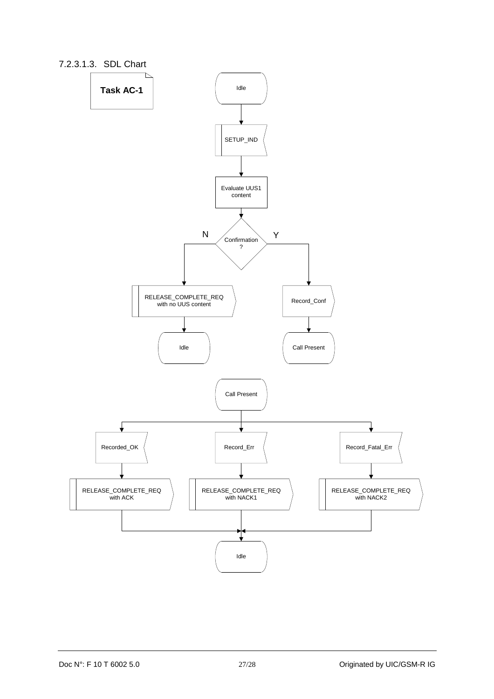![](_page_26_Figure_0.jpeg)